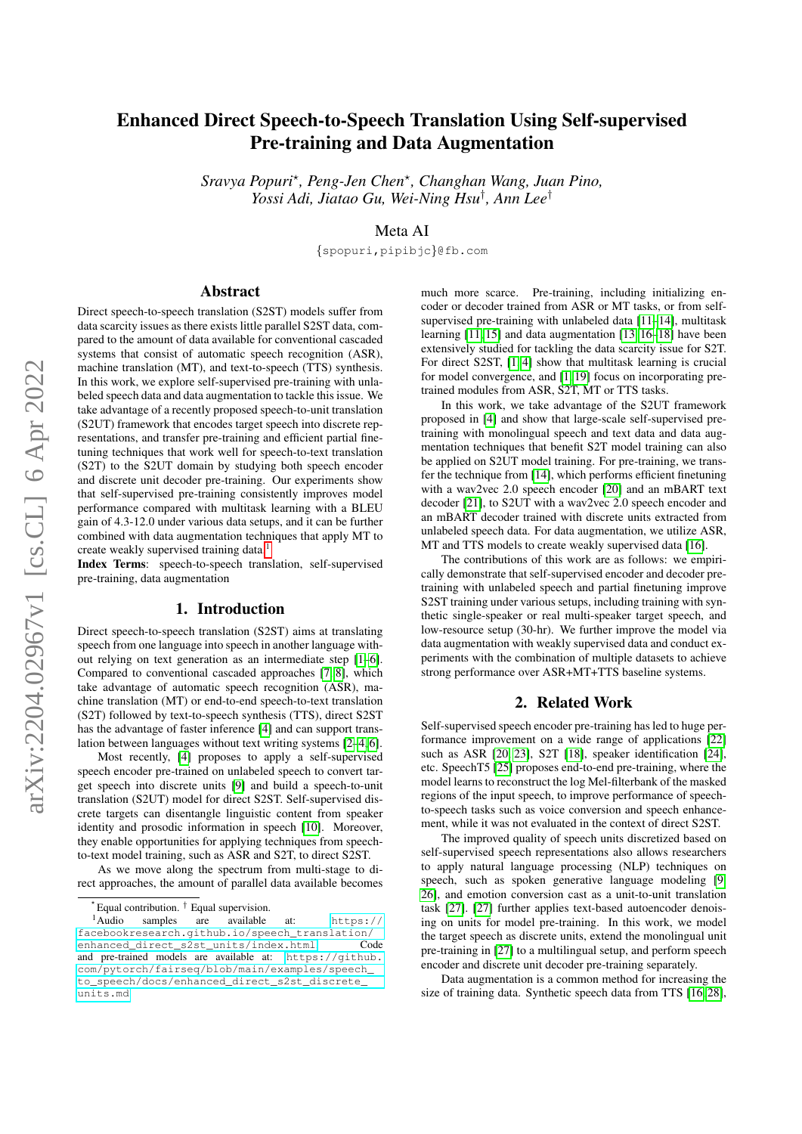# Enhanced Direct Speech-to-Speech Translation Using Self-supervised Pre-training and Data Augmentation

*Sravya Popuri*? *, Peng-Jen Chen*? *, Changhan Wang, Juan Pino, Yossi Adi, Jiatao Gu, Wei-Ning Hsu*† *, Ann Lee*†

Meta AI

{spopuri,pipibjc}@fb.com

# Abstract

Direct speech-to-speech translation (S2ST) models suffer from data scarcity issues as there exists little parallel S2ST data, compared to the amount of data available for conventional cascaded systems that consist of automatic speech recognition (ASR), machine translation (MT), and text-to-speech (TTS) synthesis. In this work, we explore self-supervised pre-training with unlabeled speech data and data augmentation to tackle this issue. We take advantage of a recently proposed speech-to-unit translation (S2UT) framework that encodes target speech into discrete representations, and transfer pre-training and efficient partial finetuning techniques that work well for speech-to-text translation (S2T) to the S2UT domain by studying both speech encoder and discrete unit decoder pre-training. Our experiments show that self-supervised pre-training consistently improves model performance compared with multitask learning with a BLEU gain of 4.3-12.0 under various data setups, and it can be further combined with data augmentation techniques that apply MT to create weakly supervised training data.<sup>[1](#page-0-0)</sup>

Index Terms: speech-to-speech translation, self-supervised pre-training, data augmentation

#### 1. Introduction

Direct speech-to-speech translation (S2ST) aims at translating speech from one language into speech in another language without relying on text generation as an intermediate step [\[1–](#page-4-0)[6\]](#page-4-1). Compared to conventional cascaded approaches [\[7,](#page-4-2) [8\]](#page-4-3), which take advantage of automatic speech recognition (ASR), machine translation (MT) or end-to-end speech-to-text translation (S2T) followed by text-to-speech synthesis (TTS), direct S2ST has the advantage of faster inference [\[4\]](#page-4-4) and can support translation between languages without text writing systems [\[2](#page-4-5)[–4,](#page-4-4) [6\]](#page-4-1).

Most recently, [\[4\]](#page-4-4) proposes to apply a self-supervised speech encoder pre-trained on unlabeled speech to convert target speech into discrete units [\[9\]](#page-4-6) and build a speech-to-unit translation (S2UT) model for direct S2ST. Self-supervised discrete targets can disentangle linguistic content from speaker identity and prosodic information in speech [\[10\]](#page-4-7). Moreover, they enable opportunities for applying techniques from speechto-text model training, such as ASR and S2T, to direct S2ST.

As we move along the spectrum from multi-stage to direct approaches, the amount of parallel data available becomes much more scarce. Pre-training, including initializing encoder or decoder trained from ASR or MT tasks, or from selfsupervised pre-training with unlabeled data [\[11–](#page-4-8)[14\]](#page-4-9), multitask learning [\[11,](#page-4-8) [15\]](#page-4-10) and data augmentation [\[13,](#page-4-11) [16–](#page-4-12)[18\]](#page-4-13) have been extensively studied for tackling the data scarcity issue for S2T. For direct S2ST, [\[1,](#page-4-0) [4\]](#page-4-4) show that multitask learning is crucial for model convergence, and [\[1,](#page-4-0) [19\]](#page-4-14) focus on incorporating pretrained modules from ASR, S2T, MT or TTS tasks.

In this work, we take advantage of the S2UT framework proposed in [\[4\]](#page-4-4) and show that large-scale self-supervised pretraining with monolingual speech and text data and data augmentation techniques that benefit S2T model training can also be applied on S2UT model training. For pre-training, we transfer the technique from [\[14\]](#page-4-9), which performs efficient finetuning with a wav2vec 2.0 speech encoder [\[20\]](#page-4-15) and an mBART text decoder [\[21\]](#page-4-16), to S2UT with a wav2vec 2.0 speech encoder and an mBART decoder trained with discrete units extracted from unlabeled speech data. For data augmentation, we utilize ASR, MT and TTS models to create weakly supervised data [\[16\]](#page-4-12).

The contributions of this work are as follows: we empirically demonstrate that self-supervised encoder and decoder pretraining with unlabeled speech and partial finetuning improve S2ST training under various setups, including training with synthetic single-speaker or real multi-speaker target speech, and low-resource setup (30-hr). We further improve the model via data augmentation with weakly supervised data and conduct experiments with the combination of multiple datasets to achieve strong performance over ASR+MT+TTS baseline systems.

### 2. Related Work

Self-supervised speech encoder pre-training has led to huge performance improvement on a wide range of applications [\[22\]](#page-4-17) such as ASR [\[20,](#page-4-15) [23\]](#page-4-18), S2T [\[18\]](#page-4-13), speaker identification [\[24\]](#page-4-19), etc. SpeechT5 [\[25\]](#page-4-20) proposes end-to-end pre-training, where the model learns to reconstruct the log Mel-filterbank of the masked regions of the input speech, to improve performance of speechto-speech tasks such as voice conversion and speech enhancement, while it was not evaluated in the context of direct S2ST.

The improved quality of speech units discretized based on self-supervised speech representations also allows researchers to apply natural language processing (NLP) techniques on speech, such as spoken generative language modeling [\[9,](#page-4-6) [26\]](#page-4-21), and emotion conversion cast as a unit-to-unit translation task [\[27\]](#page-4-22). [\[27\]](#page-4-22) further applies text-based autoencoder denoising on units for model pre-training. In this work, we model the target speech as discrete units, extend the monolingual unit pre-training in [\[27\]](#page-4-22) to a multilingual setup, and perform speech encoder and discrete unit decoder pre-training separately.

Data augmentation is a common method for increasing the size of training data. Synthetic speech data from TTS [\[16,](#page-4-12) [28\]](#page-4-23),

<span id="page-0-0"></span><sup>?</sup> Equal contribution. † Equal supervision.

<sup>&</sup>lt;sup>1</sup>Audio samples are available at: [https://](https://facebookresearch.github.io/speech_translation/enhanced_direct_s2st_units/index.html) [facebookresearch.github.io/speech\\_translation/](https://facebookresearch.github.io/speech_translation/enhanced_direct_s2st_units/index.html) [enhanced\\_direct\\_s2st\\_units/index.html](https://facebookresearch.github.io/speech_translation/enhanced_direct_s2st_units/index.html). Code and pre-trained models are available at:  $h$ ttps://github. [com/pytorch/fairseq/blob/main/examples/speech\\_](https://github.com/pytorch/fairseq/blob/main/examples/speech_to_speech/docs/enhanced_direct_s2st_discrete_units.md) [to\\_speech/docs/enhanced\\_direct\\_s2st\\_discrete\\_](https://github.com/pytorch/fairseq/blob/main/examples/speech_to_speech/docs/enhanced_direct_s2st_discrete_units.md) [units.md](https://github.com/pytorch/fairseq/blob/main/examples/speech_to_speech/docs/enhanced_direct_s2st_discrete_units.md)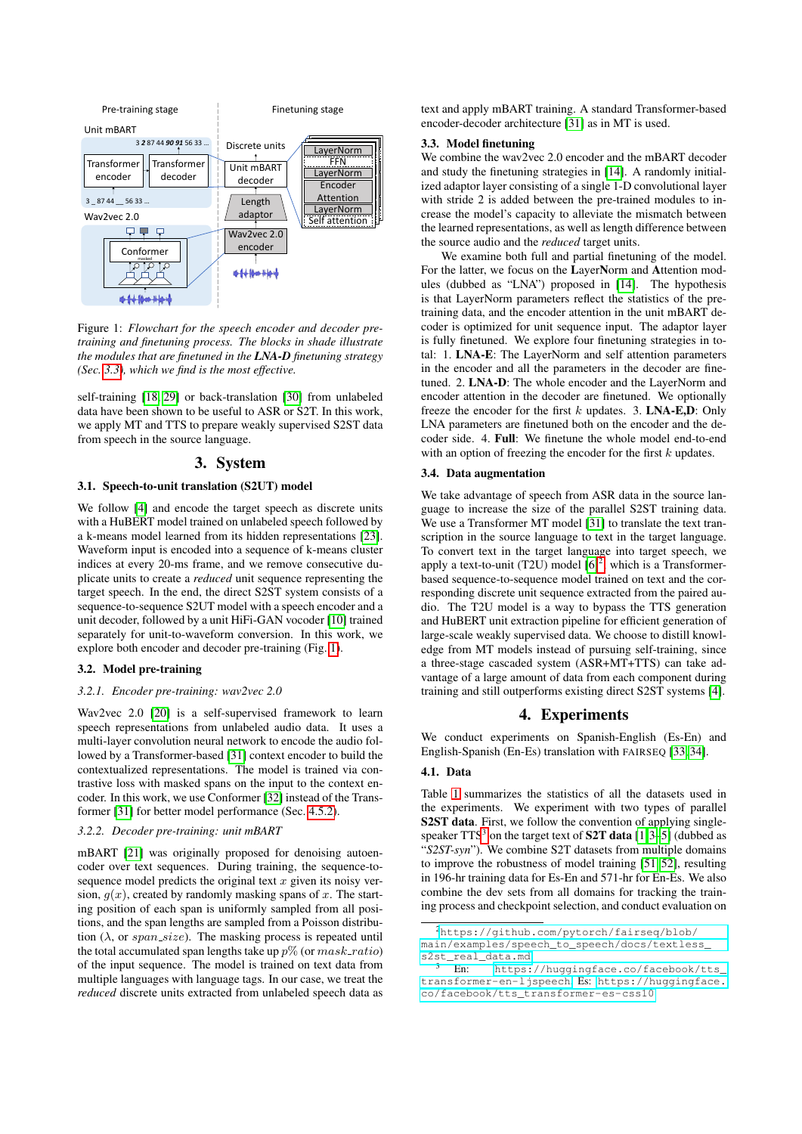<span id="page-1-1"></span>

Figure 1: *Flowchart for the speech encoder and decoder pretraining and finetuning process. The blocks in shade illustrate the modules that are finetuned in the LNA-D finetuning strategy (Sec. [3.3\)](#page-1-0), which we find is the most effective.*

self-training [\[18,](#page-4-13) [29\]](#page-4-24) or back-translation [\[30\]](#page-4-25) from unlabeled data have been shown to be useful to ASR or S2T. In this work, we apply MT and TTS to prepare weakly supervised S2ST data from speech in the source language.

### 3. System

### 3.1. Speech-to-unit translation (S2UT) model

We follow [\[4\]](#page-4-4) and encode the target speech as discrete units with a HuBERT model trained on unlabeled speech followed by a k-means model learned from its hidden representations [\[23\]](#page-4-18). Waveform input is encoded into a sequence of k-means cluster indices at every 20-ms frame, and we remove consecutive duplicate units to create a *reduced* unit sequence representing the target speech. In the end, the direct S2ST system consists of a sequence-to-sequence S2UT model with a speech encoder and a unit decoder, followed by a unit HiFi-GAN vocoder [\[10\]](#page-4-7) trained separately for unit-to-waveform conversion. In this work, we explore both encoder and decoder pre-training (Fig. [1\)](#page-1-1).

### 3.2. Model pre-training

### *3.2.1. Encoder pre-training: wav2vec 2.0*

Wav2vec 2.0 [\[20\]](#page-4-15) is a self-supervised framework to learn speech representations from unlabeled audio data. It uses a multi-layer convolution neural network to encode the audio followed by a Transformer-based [\[31\]](#page-4-26) context encoder to build the contextualized representations. The model is trained via contrastive loss with masked spans on the input to the context encoder. In this work, we use Conformer [\[32\]](#page-4-27) instead of the Transformer [\[31\]](#page-4-26) for better model performance (Sec. [4.5.2\)](#page-3-0).

### *3.2.2. Decoder pre-training: unit mBART*

mBART [\[21\]](#page-4-16) was originally proposed for denoising autoencoder over text sequences. During training, the sequence-tosequence model predicts the original text  $x$  given its noisy version,  $g(x)$ , created by randomly masking spans of x. The starting position of each span is uniformly sampled from all positions, and the span lengths are sampled from a Poisson distribution  $(\lambda)$ , or span\_size). The masking process is repeated until the total accumulated span lengths take up  $p\%$  (or  $mask\_ratio)$ ) of the input sequence. The model is trained on text data from multiple languages with language tags. In our case, we treat the *reduced* discrete units extracted from unlabeled speech data as text and apply mBART training. A standard Transformer-based encoder-decoder architecture [\[31\]](#page-4-26) as in MT is used.

#### <span id="page-1-0"></span>3.3. Model finetuning

We combine the wav2vec 2.0 encoder and the mBART decoder and study the finetuning strategies in [\[14\]](#page-4-9). A randomly initialized adaptor layer consisting of a single 1-D convolutional layer with stride 2 is added between the pre-trained modules to increase the model's capacity to alleviate the mismatch between the learned representations, as well as length difference between the source audio and the *reduced* target units.

We examine both full and partial finetuning of the model. For the latter, we focus on the LayerNorm and Attention modules (dubbed as "LNA") proposed in [\[14\]](#page-4-9). The hypothesis is that LayerNorm parameters reflect the statistics of the pretraining data, and the encoder attention in the unit mBART decoder is optimized for unit sequence input. The adaptor layer is fully finetuned. We explore four finetuning strategies in total: 1. LNA-E: The LayerNorm and self attention parameters in the encoder and all the parameters in the decoder are finetuned. 2. LNA-D: The whole encoder and the LayerNorm and encoder attention in the decoder are finetuned. We optionally freeze the encoder for the first  $k$  updates. 3. LNA-E,D: Only LNA parameters are finetuned both on the encoder and the decoder side. 4. Full: We finetune the whole model end-to-end with an option of freezing the encoder for the first  $k$  updates.

#### 3.4. Data augmentation

We take advantage of speech from ASR data in the source language to increase the size of the parallel S2ST training data. We use a Transformer MT model [\[31\]](#page-4-26) to translate the text transcription in the source language to text in the target language. To convert text in the target language into target speech, we apply a text-to-unit (T[2](#page-1-2)U) model  $[6]^2$  $[6]^2$ , which is a Transformerbased sequence-to-sequence model trained on text and the corresponding discrete unit sequence extracted from the paired audio. The T2U model is a way to bypass the TTS generation and HuBERT unit extraction pipeline for efficient generation of large-scale weakly supervised data. We choose to distill knowledge from MT models instead of pursuing self-training, since a three-stage cascaded system (ASR+MT+TTS) can take advantage of a large amount of data from each component during training and still outperforms existing direct S2ST systems [\[4\]](#page-4-4).

## 4. Experiments

We conduct experiments on Spanish-English (Es-En) and English-Spanish (En-Es) translation with FAIRSEQ [\[33,](#page-4-28) [34\]](#page-4-29).

### 4.1. Data

Table [1](#page-2-0) summarizes the statistics of all the datasets used in the experiments. We experiment with two types of parallel S2ST data. First, we follow the convention of applying singlespeaker  $TTS<sup>3</sup>$  $TTS<sup>3</sup>$  $TTS<sup>3</sup>$  on the target text of S2T data [\[1,](#page-4-0)[3–](#page-4-30)[5\]](#page-4-31) (dubbed as "*S2ST-syn*"). We combine S2T datasets from multiple domains to improve the robustness of model training [\[51,](#page-4-32) [52\]](#page-4-33), resulting in 196-hr training data for Es-En and 571-hr for En-Es. We also combine the dev sets from all domains for tracking the training process and checkpoint selection, and conduct evaluation on

<span id="page-1-2"></span><sup>2</sup>[https://github.com/pytorch/fairseq/blob/](https://github.com/pytorch/fairseq/blob/main/examples/speech_to_speech/docs/textless_s2st_real_data.md)

[main/examples/speech\\_to\\_speech/docs/textless\\_](https://github.com/pytorch/fairseq/blob/main/examples/speech_to_speech/docs/textless_s2st_real_data.md) [s2st\\_real\\_data.md](https://github.com/pytorch/fairseq/blob/main/examples/speech_to_speech/docs/textless_s2st_real_data.md)

<span id="page-1-3"></span><sup>-&</sup>lt;br>En: [https://huggingface.co/facebook/tts\\_](https://huggingface.co/facebook/tts_transformer-en-ljspeech) [transformer-en-ljspeech](https://huggingface.co/facebook/tts_transformer-en-ljspeech), Es: [https://huggingface.](https://huggingface.co/facebook/tts_transformer-es-css10) [co/facebook/tts\\_transformer-es-css10](https://huggingface.co/facebook/tts_transformer-es-css10)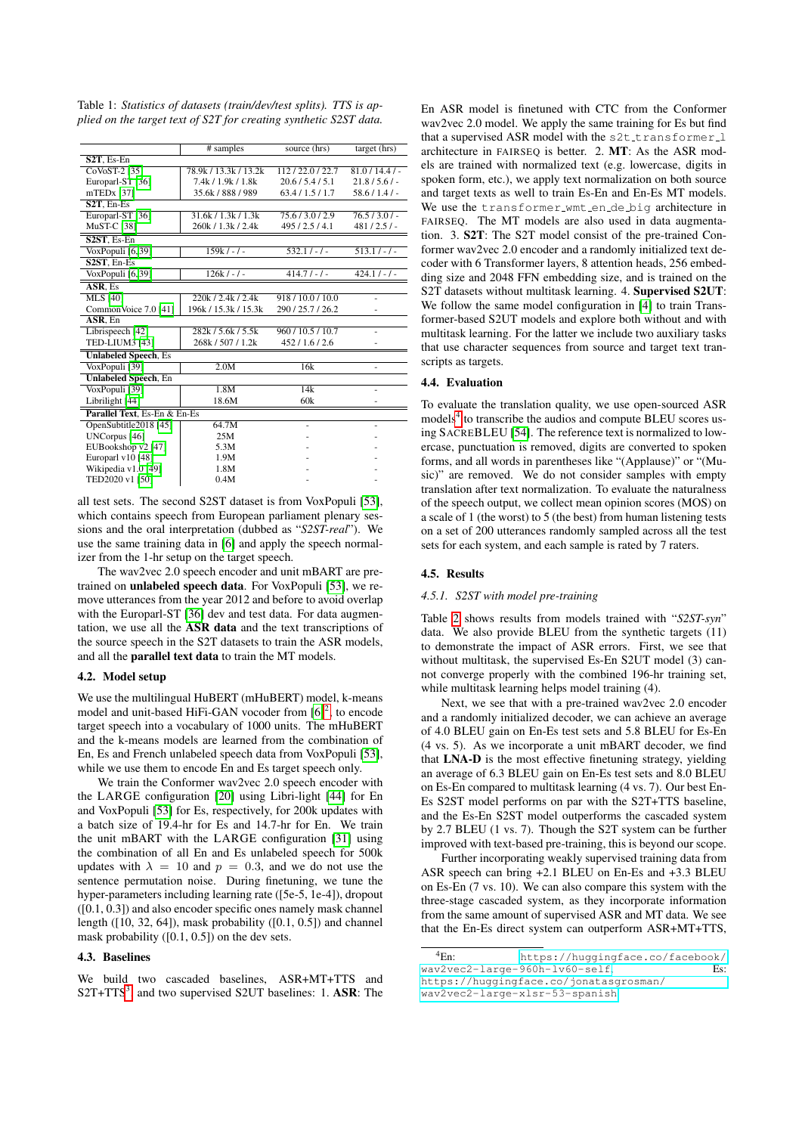<span id="page-2-0"></span>Table 1: *Statistics of datasets (train/dev/test splits). TTS is applied on the target text of S2T for creating synthetic S2ST data.*

|                                                  | # samples             | source (hrs)      | target (hrs)  |
|--------------------------------------------------|-----------------------|-------------------|---------------|
| $S2T$ . Es-En                                    |                       |                   |               |
| CoVoST-2 [35]                                    | 78.9k / 13.3k / 13.2k | 112/22.0/22.7     | $81.0/14.4/-$ |
| Europarl-ST [36]                                 | 7.4k / 1.9k / 1.8k    | 20.6/5.4/5.1      | 21.8/5.6/     |
| $mTEDx$ [37]                                     | 35.6k / 888 / 989     | 63.4/1.5/1.7      | $58.6/1.4/-$  |
| S <sub>2</sub> T, En-Es                          |                       |                   |               |
| Europarl-ST [36]                                 | 31.6k / 1.3k / 1.3k   | 75.6/3.0/2.9      | $76.5/3.0/-$  |
| <b>MuST-C [38]</b>                               | 260k / 1.3k / 2.4k    | 495/2.5/4.1       | 481/2.5/      |
| S <sub>2</sub> ST <sub>.</sub> E <sub>s-En</sub> |                       |                   |               |
| VoxPopuli [6,39]                                 | $159k/-/$             | $532.1/-$         | $513.1/-/$    |
| S <sub>2</sub> ST <sub>.</sub> En-Es             |                       |                   |               |
| VoxPopuli [6,39]                                 | $126k/ - -$           | $414.7/-$         | $424.1/-$     |
| ASR, Es                                          |                       |                   |               |
| <b>MLS</b> [40]                                  | 220k / 2.4k / 2.4k    | 918/10.0/10.0     |               |
| CommonVoice 7.0 [41]                             | 196k / 15.3k / 15.3k  | 290/25.7/26.2     |               |
| ASR. En                                          |                       |                   |               |
| Librispeech [42]                                 | 282k / 5.6k / 5.5k    | 960 / 10.5 / 10.7 |               |
| <b>TED-LIUM3</b> [43]                            | 268k / 507 / 1.2k     | 452/1.6/2.6       |               |
| <b>Unlabeled Speech, Es</b>                      |                       |                   |               |
| VoxPopuli [39]                                   | 2.0M                  | 16k               |               |
| <b>Unlabeled Speech</b> , En                     |                       |                   |               |
| VoxPopuli <sup>[39]</sup>                        | 1.8M                  | 14k               |               |
| Librilight [44]                                  | 18.6M                 | 60k               |               |
| Parallel Text. Es-En & En-Es                     |                       |                   |               |
| OpenSubtitle2018 [45]                            | 64.7M                 | ٠                 |               |
| UNCorpus [46]                                    | 25M                   |                   |               |
| EUBookshop v2 [47]                               | 5.3M                  |                   |               |
| Europarl v10 [48]                                | 1.9M                  |                   |               |
| Wikipedia v1.0 [49]                              | 1.8M                  |                   |               |
| TED2020 v1 [50]                                  | 0.4M                  |                   |               |

all test sets. The second S2ST dataset is from VoxPopuli [\[53\]](#page-4-50), which contains speech from European parliament plenary sessions and the oral interpretation (dubbed as "*S2ST-real*"). We use the same training data in [\[6\]](#page-4-1) and apply the speech normalizer from the 1-hr setup on the target speech.

The wav2vec 2.0 speech encoder and unit mBART are pretrained on unlabeled speech data. For VoxPopuli [\[53\]](#page-4-50), we remove utterances from the year 2012 and before to avoid overlap with the Europarl-ST [\[36\]](#page-4-35) dev and test data. For data augmentation, we use all the ASR data and the text transcriptions of the source speech in the S2T datasets to train the ASR models, and all the parallel text data to train the MT models.

#### 4.2. Model setup

We use the multilingual HuBERT (mHuBERT) model, k-means model and unit-based HiFi-GAN vocoder from  $[6]^2$  $[6]^2$  $[6]^2$ , to encode target speech into a vocabulary of 1000 units. The mHuBERT and the k-means models are learned from the combination of En, Es and French unlabeled speech data from VoxPopuli [\[53\]](#page-4-50), while we use them to encode En and Es target speech only.

We train the Conformer wav2vec 2.0 speech encoder with the LARGE configuration [\[20\]](#page-4-15) using Libri-light [\[44\]](#page-4-43) for En and VoxPopuli [\[53\]](#page-4-50) for Es, respectively, for 200k updates with a batch size of 19.4-hr for Es and 14.7-hr for En. We train the unit mBART with the LARGE configuration [\[31\]](#page-4-26) using the combination of all En and Es unlabeled speech for 500k updates with  $\lambda = 10$  and  $p = 0.3$ , and we do not use the sentence permutation noise. During finetuning, we tune the hyper-parameters including learning rate ([5e-5, 1e-4]), dropout ([0.1, 0.3]) and also encoder specific ones namely mask channel length ([10, 32, 64]), mask probability ([0.1, 0.5]) and channel mask probability ([0.1, 0.5]) on the dev sets.

#### 4.3. Baselines

We build two cascaded baselines, ASR+MT+TTS and  $S2T+TTS<sup>3</sup>$  $S2T+TTS<sup>3</sup>$  $S2T+TTS<sup>3</sup>$ , and two supervised S2UT baselines: 1. ASR: The

En ASR model is finetuned with CTC from the Conformer wav2vec 2.0 model. We apply the same training for Es but find that a supervised ASR model with the s2t\_transformer\_l architecture in FAIRSEQ is better. 2. MT: As the ASR models are trained with normalized text (e.g. lowercase, digits in spoken form, etc.), we apply text normalization on both source and target texts as well to train Es-En and En-Es MT models. We use the transformer\_wmt\_en\_de\_big architecture in FAIRSEQ. The MT models are also used in data augmentation. 3. S2T: The S2T model consist of the pre-trained Conformer wav2vec 2.0 encoder and a randomly initialized text decoder with 6 Transformer layers, 8 attention heads, 256 embedding size and 2048 FFN embedding size, and is trained on the S2T datasets without multitask learning. 4. Supervised S2UT: We follow the same model configuration in [\[4\]](#page-4-4) to train Transformer-based S2UT models and explore both without and with multitask learning. For the latter we include two auxiliary tasks that use character sequences from source and target text transcripts as targets.

### 4.4. Evaluation

To evaluate the translation quality, we use open-sourced ASR models<sup>[4](#page-2-1)</sup> to transcribe the audios and compute BLEU scores using SACREBLEU [\[54\]](#page-4-51). The reference text is normalized to lowercase, punctuation is removed, digits are converted to spoken forms, and all words in parentheses like "(Applause)" or "(Music)" are removed. We do not consider samples with empty translation after text normalization. To evaluate the naturalness of the speech output, we collect mean opinion scores (MOS) on a scale of 1 (the worst) to 5 (the best) from human listening tests on a set of 200 utterances randomly sampled across all the test sets for each system, and each sample is rated by 7 raters.

#### 4.5. Results

#### *4.5.1. S2ST with model pre-training*

Table [2](#page-3-1) shows results from models trained with "*S2ST-syn*" data. We also provide BLEU from the synthetic targets (11) to demonstrate the impact of ASR errors. First, we see that without multitask, the supervised Es-En S2UT model (3) cannot converge properly with the combined 196-hr training set, while multitask learning helps model training (4).

Next, we see that with a pre-trained wav2vec 2.0 encoder and a randomly initialized decoder, we can achieve an average of 4.0 BLEU gain on En-Es test sets and 5.8 BLEU for Es-En (4 vs. 5). As we incorporate a unit mBART decoder, we find that LNA-D is the most effective finetuning strategy, yielding an average of 6.3 BLEU gain on En-Es test sets and 8.0 BLEU on Es-En compared to multitask learning (4 vs. 7). Our best En-Es S2ST model performs on par with the S2T+TTS baseline, and the Es-En S2ST model outperforms the cascaded system by 2.7 BLEU (1 vs. 7). Though the S2T system can be further improved with text-based pre-training, this is beyond our scope.

Further incorporating weakly supervised training data from ASR speech can bring +2.1 BLEU on En-Es and +3.3 BLEU on Es-En (7 vs. 10). We can also compare this system with the three-stage cascaded system, as they incorporate information from the same amount of supervised ASR and MT data. We see that the En-Es direct system can outperform ASR+MT+TTS,

```
4En: https://huggingface.co/facebook/
way2vec2 - large - 960h-1v60 - selfhttps://huggingface.co/jonatasgrosman/
wav2vec2-large-xlsr-53-spanish
```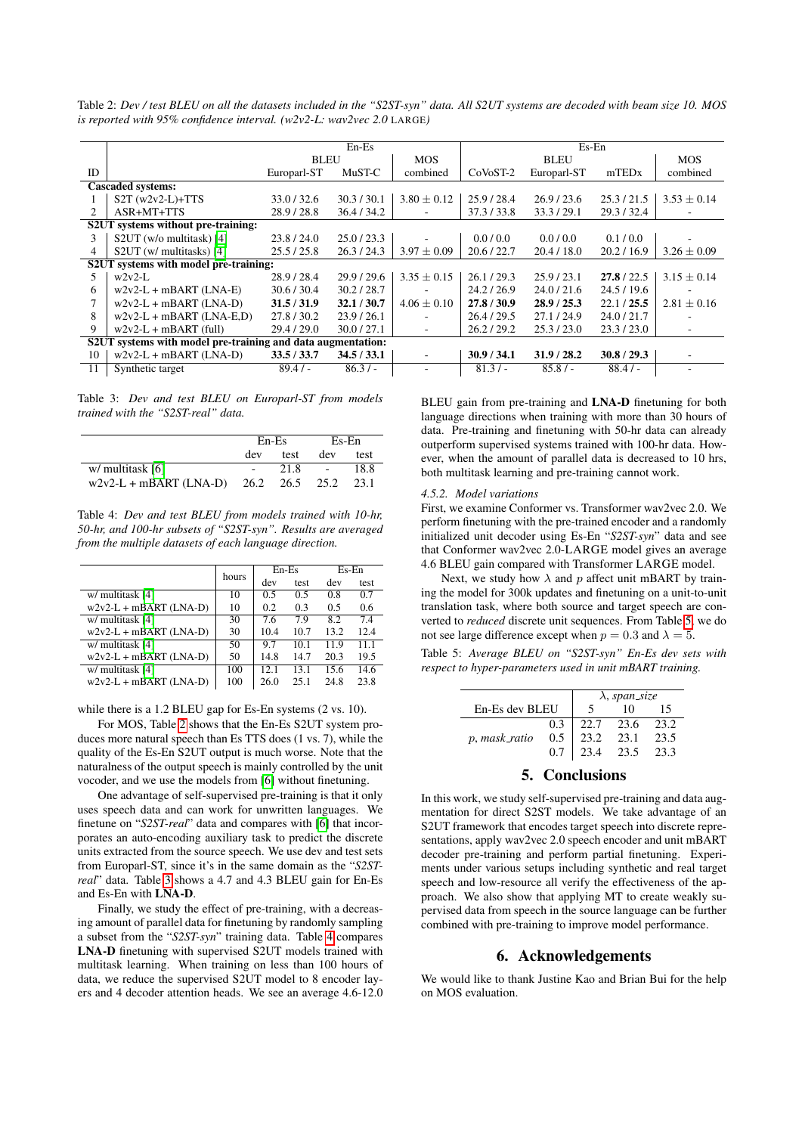En-Es Es-En BLEU MOS BLEU MOS ID Europarl-ST MuST-C combined CoVoST-2 Europarl-ST mTEDx combined Cascaded systems: 1 S2T (w2v2-L)+TTS 33.0 / 32.6 30.3 / 30.1 3.80 ± 0.12 25.9 / 28.4 26.9 / 23.6 25.3 / 21.5 3.53 ± 0.14 ASR+MT+TTS S2UT systems without pre-training: 3 S2UT (w/o multitask) [\[4\]](#page-4-4) 23.8 / 24.0 25.0 / 23.3 - 0.0 / 0.0 0.0 / 0.0 0.1 / 0.0 - 4 S2UT (w/ multitasks) [\[4\]](#page-4-4) 25.5 / 25.8 26.3 / 24.3  $\mid$  3.97  $\pm$  0.09  $\mid$  20.6 / 22.7 S2UT systems with model pre-training:<br>5  $\frac{1}{28}$  w2v2-L 28 9/28 4  $5 \mid w2v2-L$  28.9 / 28.4 29.9 / 29.6  $\mid 3.35 \pm 0.15 \mid 26.1$  / 29.3 25.9 / 23.1 27.8 / 22.5  $\mid 3.15 \pm 0.14$ 6 w2v2-L + mBART (LNA-E)  $30.6 / 30.4$   $30.2 / 28.7$  -  $24.2 / 26.9$   $24.0 / 21.6$   $24.5 / 19.6$  -<br>7 w2v2-L + mBART (LNA-D)  $31.5 / 31.9$   $32.1 / 30.7$   $4.06 \pm 0.10$   $27.8 / 30.9$   $28.9 / 25.3$   $22.1 / 25.5$   $2.81 \pm 0.16$  $w2v2-L + mBART$  (LNA-D) 8 w2v2-L + mBART (LNA-E,D)  $27.8 / 30.2$   $23.9 / 26.1$  -  $26.4 / 29.5$   $27.1 / 24.9$   $24.0 / 21.7$ <br>9 w2v2-L + mBART (full)  $29.4 / 29.0$   $30.0 / 27.1$  $9 \mid w2v2-L + mBART$  (full) S2UT systems with model pre-training and data augmentation: 10 | w2v2-L + mBART (LNA-D) 33.5 / 33.7 34.5 / 33.1 | - | 30.9 / 34.1 31.9 / 28.2 30.8 / 29.3 11 | Synthetic target 89.4 / - 86.3 / - 81.3 / - 85.8 / - 88.4 / -

<span id="page-3-1"></span>Table 2: *Dev / test BLEU on all the datasets included in the "S2ST-syn" data. All S2UT systems are decoded with beam size 10. MOS is reported with 95% confidence interval. (w2v2-L: wav2vec 2.0* LARGE*)*

<span id="page-3-2"></span>Table 3: *Dev and test BLEU on Europarl-ST from models trained with the "S2ST-real" data.*

|                                                      | $En-Es$ |      | $Es-En$ |      |
|------------------------------------------------------|---------|------|---------|------|
|                                                      | dev     | test | dev     | test |
| w/ multitask [6]                                     |         | 21.8 |         | 18.8 |
| $w2v2-L + mBART$ (LNA-D) $26.2$ $26.5$ $25.2$ $23.1$ |         |      |         |      |

<span id="page-3-3"></span>Table 4: *Dev and test BLEU from models trained with 10-hr, 50-hr, and 100-hr subsets of "S2ST-syn". Results are averaged from the multiple datasets of each language direction.*

|                          | hours | En-Es |      | Es-En |      |
|--------------------------|-------|-------|------|-------|------|
|                          |       | dev   | test | dev   | test |
| w/ multitask [4]         | 10    | 0.5   | 0.5  | 0.8   | 0.7  |
| $w2v2-L + mBART$ (LNA-D) | 10    | 0.2   | 0.3  | 0.5   | 0.6  |
| w/ multitask [4]         | 30    | 7.6   | 79   | 8.2   | 74   |
| $w2v2-L + mBART$ (LNA-D) | 30    | 10.4  | 10.7 | 13.2  | 12.4 |
| w/ multitask [4]         | 50    | 9.7   | 10.1 | 11.9  | 11.1 |
| $w2v2-L + mBART$ (LNA-D) | 50    | 14.8  | 14.7 | 20.3  | 19.5 |
| w/ multitask [4]         | 100   | 12.1  | 13.1 | 15.6  | 14.6 |
| $w2v2-L + mBART$ (LNA-D) | 100   | 26.0  | 25.1 | 24.8  | 23.8 |

while there is a 1.2 BLEU gap for Es-En systems (2 vs. 10).

For MOS, Table [2](#page-3-1) shows that the En-Es S2UT system produces more natural speech than Es TTS does (1 vs. 7), while the quality of the Es-En S2UT output is much worse. Note that the naturalness of the output speech is mainly controlled by the unit vocoder, and we use the models from [\[6\]](#page-4-1) without finetuning.

One advantage of self-supervised pre-training is that it only uses speech data and can work for unwritten languages. We finetune on "*S2ST-real*" data and compares with [\[6\]](#page-4-1) that incorporates an auto-encoding auxiliary task to predict the discrete units extracted from the source speech. We use dev and test sets from Europarl-ST, since it's in the same domain as the "*S2STreal*" data. Table [3](#page-3-2) shows a 4.7 and 4.3 BLEU gain for En-Es and Es-En with LNA-D.

Finally, we study the effect of pre-training, with a decreasing amount of parallel data for finetuning by randomly sampling a subset from the "*S2ST-syn*" training data. Table [4](#page-3-3) compares LNA-D finetuning with supervised S2UT models trained with multitask learning. When training on less than 100 hours of data, we reduce the supervised S2UT model to 8 encoder layers and 4 decoder attention heads. We see an average 4.6-12.0 BLEU gain from pre-training and LNA-D finetuning for both language directions when training with more than 30 hours of data. Pre-training and finetuning with 50-hr data can already outperform supervised systems trained with 100-hr data. However, when the amount of parallel data is decreased to 10 hrs, both multitask learning and pre-training cannot work.

#### <span id="page-3-0"></span>*4.5.2. Model variations*

First, we examine Conformer vs. Transformer wav2vec 2.0. We perform finetuning with the pre-trained encoder and a randomly initialized unit decoder using Es-En "*S2ST-syn*" data and see that Conformer wav2vec 2.0-LARGE model gives an average 4.6 BLEU gain compared with Transformer LARGE model.

Next, we study how  $\lambda$  and  $p$  affect unit mBART by training the model for 300k updates and finetuning on a unit-to-unit translation task, where both source and target speech are converted to *reduced* discrete unit sequences. From Table [5,](#page-3-4) we do not see large difference except when  $p = 0.3$  and  $\lambda = 5$ .

<span id="page-3-4"></span>Table 5: *Average BLEU on "S2ST-syn" En-Es dev sets with respect to hyper-parameters used in unit mBART training.*

|                |     | $\lambda$ , span_size |      |      |
|----------------|-----|-----------------------|------|------|
| En-Es dev BLEU |     | - 5                   | 10   | 15   |
|                | 0.3 | 22.7 23.6             |      | 23.2 |
| p, mask_ratio  | 0.5 | 23.2                  | 23.1 | 23.5 |
|                |     | $0.7$   23.4 23.5     |      | 23.3 |
|                |     |                       |      |      |

### 5. Conclusions

In this work, we study self-supervised pre-training and data augmentation for direct S2ST models. We take advantage of an S2UT framework that encodes target speech into discrete representations, apply wav2vec 2.0 speech encoder and unit mBART decoder pre-training and perform partial finetuning. Experiments under various setups including synthetic and real target speech and low-resource all verify the effectiveness of the approach. We also show that applying MT to create weakly supervised data from speech in the source language can be further combined with pre-training to improve model performance.

# 6. Acknowledgements

We would like to thank Justine Kao and Brian Bui for the help on MOS evaluation.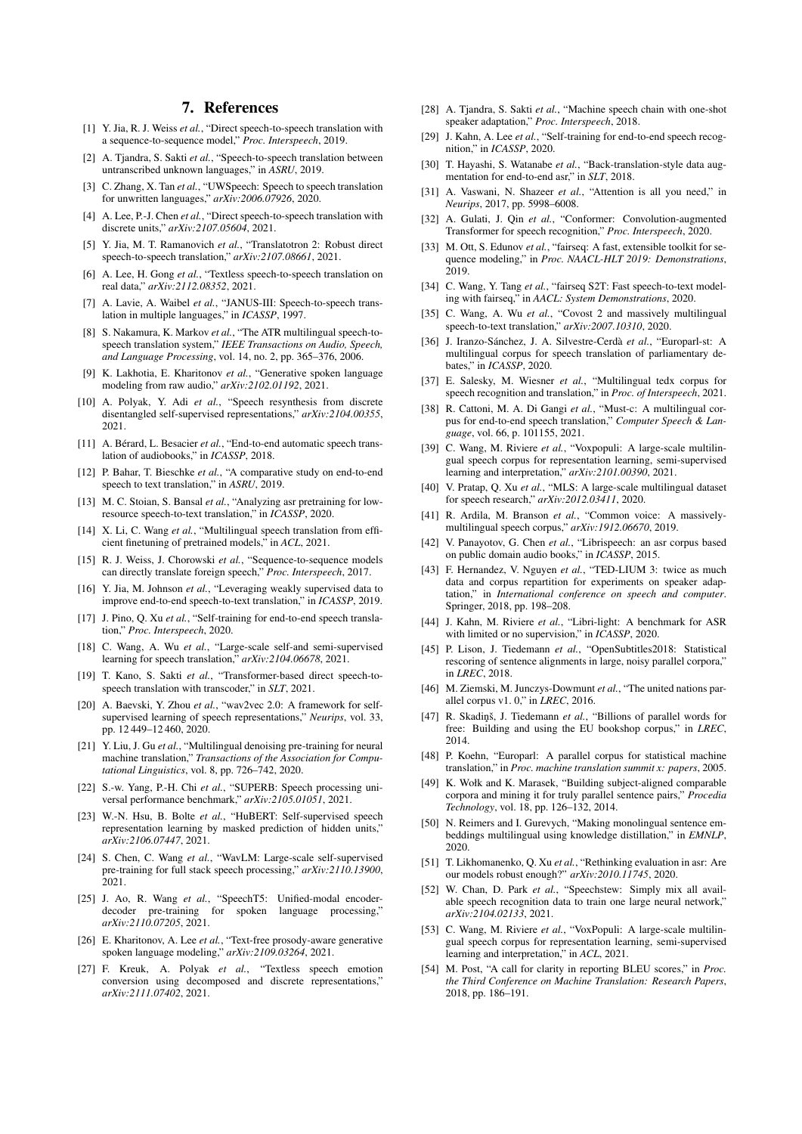# 7. References

- <span id="page-4-0"></span>[1] Y. Jia, R. J. Weiss *et al.*, "Direct speech-to-speech translation with a sequence-to-sequence model," *Proc. Interspeech*, 2019.
- <span id="page-4-5"></span>[2] A. Tjandra, S. Sakti *et al.*, "Speech-to-speech translation between untranscribed unknown languages," in *ASRU*, 2019.
- <span id="page-4-30"></span>[3] C. Zhang, X. Tan *et al.*, "UWSpeech: Speech to speech translation for unwritten languages," *arXiv:2006.07926*, 2020.
- <span id="page-4-4"></span>[4] A. Lee, P.-J. Chen *et al.*, "Direct speech-to-speech translation with discrete units," *arXiv:2107.05604*, 2021.
- <span id="page-4-31"></span>[5] Y. Jia, M. T. Ramanovich *et al.*, "Translatotron 2: Robust direct speech-to-speech translation," *arXiv:2107.08661*, 2021.
- <span id="page-4-1"></span>[6] A. Lee, H. Gong *et al.*, "Textless speech-to-speech translation on real data," *arXiv:2112.08352*, 2021.
- <span id="page-4-2"></span>[7] A. Lavie, A. Waibel *et al.*, "JANUS-III: Speech-to-speech translation in multiple languages," in *ICASSP*, 1997.
- <span id="page-4-3"></span>[8] S. Nakamura, K. Markov *et al.*, "The ATR multilingual speech-tospeech translation system," *IEEE Transactions on Audio, Speech, and Language Processing*, vol. 14, no. 2, pp. 365–376, 2006.
- <span id="page-4-6"></span>[9] K. Lakhotia, E. Kharitonov *et al.*, "Generative spoken language modeling from raw audio," *arXiv:2102.01192*, 2021.
- <span id="page-4-7"></span>[10] A. Polyak, Y. Adi *et al.*, "Speech resynthesis from discrete disentangled self-supervised representations," *arXiv:2104.00355*, 2021.
- <span id="page-4-8"></span>[11] A. Bérard, L. Besacier et al., "End-to-end automatic speech translation of audiobooks," in *ICASSP*, 2018.
- [12] P. Bahar, T. Bieschke *et al.*, "A comparative study on end-to-end speech to text translation," in *ASRU*, 2019.
- <span id="page-4-11"></span>[13] M. C. Stoian, S. Bansal *et al.*, "Analyzing asr pretraining for lowresource speech-to-text translation," in *ICASSP*, 2020.
- <span id="page-4-9"></span>[14] X. Li, C. Wang *et al.*, "Multilingual speech translation from efficient finetuning of pretrained models," in *ACL*, 2021.
- <span id="page-4-10"></span>[15] R. J. Weiss, J. Chorowski et al., "Sequence-to-sequence models can directly translate foreign speech," *Proc. Interspeech*, 2017.
- <span id="page-4-12"></span>[16] Y. Jia, M. Johnson et al., "Leveraging weakly supervised data to improve end-to-end speech-to-text translation," in *ICASSP*, 2019.
- [17] J. Pino, Q. Xu *et al.*, "Self-training for end-to-end speech translation," *Proc. Interspeech*, 2020.
- <span id="page-4-13"></span>[18] C. Wang, A. Wu *et al.*, "Large-scale self-and semi-supervised learning for speech translation," *arXiv:2104.06678*, 2021.
- <span id="page-4-14"></span>[19] T. Kano, S. Sakti *et al.*, "Transformer-based direct speech-tospeech translation with transcoder," in *SLT*, 2021.
- <span id="page-4-15"></span>[20] A. Baevski, Y. Zhou *et al.*, "wav2vec 2.0: A framework for selfsupervised learning of speech representations," *Neurips*, vol. 33, pp. 12 449–12 460, 2020.
- <span id="page-4-16"></span>[21] Y. Liu, J. Gu *et al.*, "Multilingual denoising pre-training for neural machine translation," *Transactions of the Association for Computational Linguistics*, vol. 8, pp. 726–742, 2020.
- <span id="page-4-17"></span>[22] S.-w. Yang, P.-H. Chi *et al.*, "SUPERB: Speech processing universal performance benchmark," *arXiv:2105.01051*, 2021.
- <span id="page-4-18"></span>[23] W.-N. Hsu, B. Bolte *et al.*, "HuBERT: Self-supervised speech representation learning by masked prediction of hidden units," *arXiv:2106.07447*, 2021.
- <span id="page-4-19"></span>[24] S. Chen, C. Wang *et al.*, "WavLM: Large-scale self-supervised pre-training for full stack speech processing," *arXiv:2110.13900*, 2021.
- <span id="page-4-20"></span>[25] J. Ao, R. Wang et al., "SpeechT5: Unified-modal encoderdecoder pre-training for spoken language processing," *arXiv:2110.07205*, 2021.
- <span id="page-4-21"></span>[26] E. Kharitonov, A. Lee *et al.*, "Text-free prosody-aware generative spoken language modeling," *arXiv:2109.03264*, 2021.
- <span id="page-4-22"></span>[27] F. Kreuk, A. Polyak *et al.*, "Textless speech emotion conversion using decomposed and discrete representations," *arXiv:2111.07402*, 2021.
- <span id="page-4-23"></span>[28] A. Tjandra, S. Sakti *et al.*, "Machine speech chain with one-shot speaker adaptation," *Proc. Interspeech*, 2018.
- <span id="page-4-24"></span>[29] J. Kahn, A. Lee *et al.*, "Self-training for end-to-end speech recognition," in *ICASSP*, 2020.
- <span id="page-4-25"></span>[30] T. Hayashi, S. Watanabe *et al.*, "Back-translation-style data augmentation for end-to-end asr," in *SLT*, 2018.
- <span id="page-4-26"></span>[31] A. Vaswani, N. Shazeer et al., "Attention is all you need," in *Neurips*, 2017, pp. 5998–6008.
- <span id="page-4-27"></span>[32] A. Gulati, J. Qin *et al.*, "Conformer: Convolution-augmented Transformer for speech recognition," *Proc. Interspeech*, 2020.
- <span id="page-4-28"></span>[33] M. Ott, S. Edunov *et al.*, "fairseq: A fast, extensible toolkit for sequence modeling," in *Proc. NAACL-HLT 2019: Demonstrations*, 2019.
- <span id="page-4-29"></span>[34] C. Wang, Y. Tang et al., "fairseq S2T: Fast speech-to-text modeling with fairseq," in *AACL: System Demonstrations*, 2020.
- <span id="page-4-34"></span>[35] C. Wang, A. Wu *et al.*, "Covost 2 and massively multilingual speech-to-text translation," *arXiv:2007.10310*, 2020.
- <span id="page-4-35"></span>[36] J. Iranzo-Sánchez, J. A. Silvestre-Cerdà et al., "Europarl-st: A multilingual corpus for speech translation of parliamentary debates," in *ICASSP*, 2020.
- <span id="page-4-36"></span>[37] E. Salesky, M. Wiesner *et al.*, "Multilingual tedx corpus for speech recognition and translation," in *Proc. of Interspeech*, 2021.
- <span id="page-4-37"></span>[38] R. Cattoni, M. A. Di Gangi *et al.*, "Must-c: A multilingual corpus for end-to-end speech translation," *Computer Speech & Language*, vol. 66, p. 101155, 2021.
- <span id="page-4-38"></span>[39] C. Wang, M. Riviere *et al.*, "Voxpopuli: A large-scale multilingual speech corpus for representation learning, semi-supervised learning and interpretation," *arXiv:2101.00390*, 2021.
- <span id="page-4-39"></span>[40] V. Pratap, Q. Xu *et al.*, "MLS: A large-scale multilingual dataset for speech research," *arXiv:2012.03411*, 2020.
- <span id="page-4-40"></span>[41] R. Ardila, M. Branson *et al.*, "Common voice: A massivelymultilingual speech corpus," *arXiv:1912.06670*, 2019.
- <span id="page-4-41"></span>[42] V. Panayotov, G. Chen *et al.*, "Librispeech: an asr corpus based on public domain audio books," in *ICASSP*, 2015.
- <span id="page-4-42"></span>[43] F. Hernandez, V. Nguyen *et al.*, "TED-LIUM 3: twice as much data and corpus repartition for experiments on speaker adaptation," in *International conference on speech and computer*. Springer, 2018, pp. 198–208.
- <span id="page-4-43"></span>[44] J. Kahn, M. Riviere *et al.*, "Libri-light: A benchmark for ASR with limited or no supervision," in *ICASSP*, 2020.
- <span id="page-4-44"></span>[45] P. Lison, J. Tiedemann et al., "OpenSubtitles2018: Statistical rescoring of sentence alignments in large, noisy parallel corpora," in *LREC*, 2018.
- <span id="page-4-45"></span>[46] M. Ziemski, M. Junczys-Dowmunt *et al.*, "The united nations parallel corpus v1. 0," in *LREC*, 2016.
- <span id="page-4-46"></span>[47] R. Skadiņš, J. Tiedemann et al., "Billions of parallel words for free: Building and using the EU bookshop corpus," in *LREC*, 2014.
- <span id="page-4-47"></span>[48] P. Koehn, "Europarl: A parallel corpus for statistical machine translation," in *Proc. machine translation summit x: papers*, 2005.
- <span id="page-4-48"></span>[49] K. Wołk and K. Marasek, "Building subject-aligned comparable corpora and mining it for truly parallel sentence pairs," *Procedia Technology*, vol. 18, pp. 126–132, 2014.
- <span id="page-4-49"></span>[50] N. Reimers and I. Gurevych, "Making monolingual sentence embeddings multilingual using knowledge distillation," in *EMNLP*, 2020.
- <span id="page-4-32"></span>[51] T. Likhomanenko, Q. Xu *et al.*, "Rethinking evaluation in asr: Are our models robust enough?" *arXiv:2010.11745*, 2020.
- <span id="page-4-33"></span>[52] W. Chan, D. Park *et al.*, "Speechstew: Simply mix all available speech recognition data to train one large neural network," *arXiv:2104.02133*, 2021.
- <span id="page-4-50"></span>[53] C. Wang, M. Riviere *et al.*, "VoxPopuli: A large-scale multilingual speech corpus for representation learning, semi-supervised learning and interpretation," in *ACL*, 2021.
- <span id="page-4-51"></span>[54] M. Post, "A call for clarity in reporting BLEU scores," in *Proc. the Third Conference on Machine Translation: Research Papers*, 2018, pp. 186–191.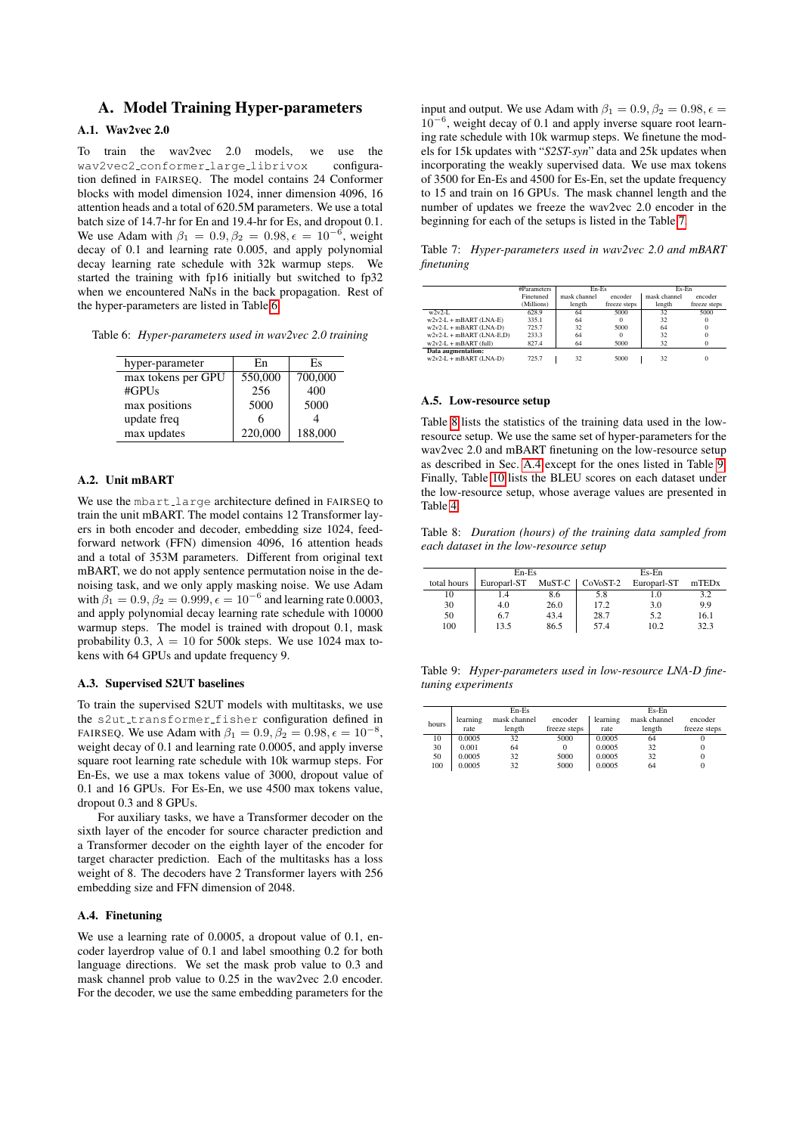# A. Model Training Hyper-parameters

# A.1. Wav2vec 2.0

To train the wav2vec 2.0 models, we use the wav2vec2 conformer large librivox configuration defined in FAIRSEQ. The model contains 24 Conformer blocks with model dimension 1024, inner dimension 4096, 16 attention heads and a total of 620.5M parameters. We use a total batch size of 14.7-hr for En and 19.4-hr for Es, and dropout 0.1. We use Adam with  $\beta_1 = 0.9, \beta_2 = 0.98, \epsilon = 10^{-6}$ , weight decay of 0.1 and learning rate 0.005, and apply polynomial decay learning rate schedule with 32k warmup steps. We started the training with fp16 initially but switched to fp32 when we encountered NaNs in the back propagation. Rest of the hyper-parameters are listed in Table [6.](#page-5-0)

<span id="page-5-0"></span>Table 6: *Hyper-parameters used in wav2vec 2.0 training*

| hyper-parameter    | En      | Es      |
|--------------------|---------|---------|
| max tokens per GPU | 550,000 | 700,000 |
| #GPUs              | 256     | 400     |
| max positions      | 5000    | 5000    |
| update freq        |         |         |
| max updates        | 220,000 | 188,000 |

### A.2. Unit mBART

We use the mbart large architecture defined in FAIRSEQ to train the unit mBART. The model contains 12 Transformer layers in both encoder and decoder, embedding size 1024, feedforward network (FFN) dimension 4096, 16 attention heads and a total of 353M parameters. Different from original text mBART, we do not apply sentence permutation noise in the denoising task, and we only apply masking noise. We use Adam with  $\beta_1 = 0.9, \beta_2 = 0.999, \epsilon = 10^{-6}$  and learning rate 0.0003, and apply polynomial decay learning rate schedule with 10000 warmup steps. The model is trained with dropout 0.1, mask probability 0.3,  $\lambda = 10$  for 500k steps. We use 1024 max tokens with 64 GPUs and update frequency 9.

### A.3. Supervised S2UT baselines

To train the supervised S2UT models with multitasks, we use the s2ut\_transformer\_fisher configuration defined in FAIRSEQ. We use Adam with  $\beta_1 = 0.9, \beta_2 = 0.98, \epsilon = 10^{-8}$ , weight decay of 0.1 and learning rate 0.0005, and apply inverse square root learning rate schedule with 10k warmup steps. For En-Es, we use a max tokens value of 3000, dropout value of 0.1 and 16 GPUs. For Es-En, we use 4500 max tokens value, dropout 0.3 and 8 GPUs.

For auxiliary tasks, we have a Transformer decoder on the sixth layer of the encoder for source character prediction and a Transformer decoder on the eighth layer of the encoder for target character prediction. Each of the multitasks has a loss weight of 8. The decoders have 2 Transformer layers with 256 embedding size and FFN dimension of 2048.

#### <span id="page-5-3"></span>A.4. Finetuning

We use a learning rate of 0.0005, a dropout value of 0.1, encoder layerdrop value of 0.1 and label smoothing 0.2 for both language directions. We set the mask prob value to 0.3 and mask channel prob value to 0.25 in the wav2vec 2.0 encoder. For the decoder, we use the same embedding parameters for the

input and output. We use Adam with  $\beta_1 = 0.9$ ,  $\beta_2 = 0.98$ ,  $\epsilon =$ 10<sup>−</sup><sup>6</sup> , weight decay of 0.1 and apply inverse square root learning rate schedule with 10k warmup steps. We finetune the models for 15k updates with "*S2ST-syn*" data and 25k updates when incorporating the weakly supervised data. We use max tokens of 3500 for En-Es and 4500 for Es-En, set the update frequency to 15 and train on 16 GPUs. The mask channel length and the number of updates we freeze the wav2vec 2.0 encoder in the beginning for each of the setups is listed in the Table [7.](#page-5-1)

<span id="page-5-1"></span>Table 7: *Hyper-parameters used in wav2vec 2.0 and mBART finetuning*

|                            | #Parameters | En-Es        |              | Es-En        |              |
|----------------------------|-------------|--------------|--------------|--------------|--------------|
|                            | Finetuned   | mask channel | encoder      | mask channel | encoder      |
|                            | (Millions)  | length       | freeze steps | length       | freeze steps |
| $w2v2-L$                   | 628.9       | 64           | 5000         | 32           | 5000         |
| $w2v2-L + mBART$ (LNA-E)   | 335.1       | 64           |              | 32           | $\bf{0}$     |
| $w2v2-L + mBART$ (LNA-D)   | 725.7       | 32           | 5000         | 64           | $\Omega$     |
| $w2v2-L + mBART$ (LNA-E.D) | 233.3       | 64           |              | 32           | $\Omega$     |
| $w2v2-L + mBART$ (full)    | 827.4       | 64           | 5000         | 32           | $\Omega$     |
| Data augmentation:         |             |              |              |              |              |
| $w2v2-L + mBART$ (LNA-D)   | 725.7       | 32           | 5000         | 32           | $\Omega$     |
|                            |             |              |              |              |              |

#### A.5. Low-resource setup

Table [8](#page-5-2) lists the statistics of the training data used in the lowresource setup. We use the same set of hyper-parameters for the wav2vec 2.0 and mBART finetuning on the low-resource setup as described in Sec. [A.4](#page-5-3) except for the ones listed in Table [9.](#page-5-4) Finally, Table [10](#page-6-0) lists the BLEU scores on each dataset under the low-resource setup, whose average values are presented in Table [4.](#page-3-3)

<span id="page-5-2"></span>Table 8: *Duration (hours) of the training data sampled from each dataset in the low-resource setup*

|             | $En-Es$     |        | Es-En           |             |       |
|-------------|-------------|--------|-----------------|-------------|-------|
| total hours | Europarl-ST | MuST-C | $\sim$ CoVoST-2 | Europarl-ST | mTEDx |
| 10          | 1.4         | 8.6    | 5.8             | 1.0         | 3.2   |
| 30          | 4.0         | 26.0   | 17.2            | 3.0         | 9.9   |
| 50          | 6.7         | 43.4   | 28.7            | 5.2         | 16.1  |
| 100         | 13.5        | 86.5   | 57.4            | 10.2        | 32.3  |

<span id="page-5-4"></span>Table 9: *Hyper-parameters used in low-resource LNA-D finetuning experiments*

|       |          | En-Es        |              | Es-En    |              |              |
|-------|----------|--------------|--------------|----------|--------------|--------------|
| hours | learning | mask channel | encoder      | learning | mask channel | encoder      |
|       | rate     | length       | freeze steps | rate     | length       | freeze steps |
| 10    | 0.0005   | 32           | 5000         | 0.0005   | 64           |              |
| 30    | 0.001    | 64           |              | 0.0005   | 32           |              |
| 50    | 0.0005   | 32           | 5000         | 0.0005   | 32           |              |
| 100   | 0.0005   | 32           | 5000         | 0.0005   | 64           |              |